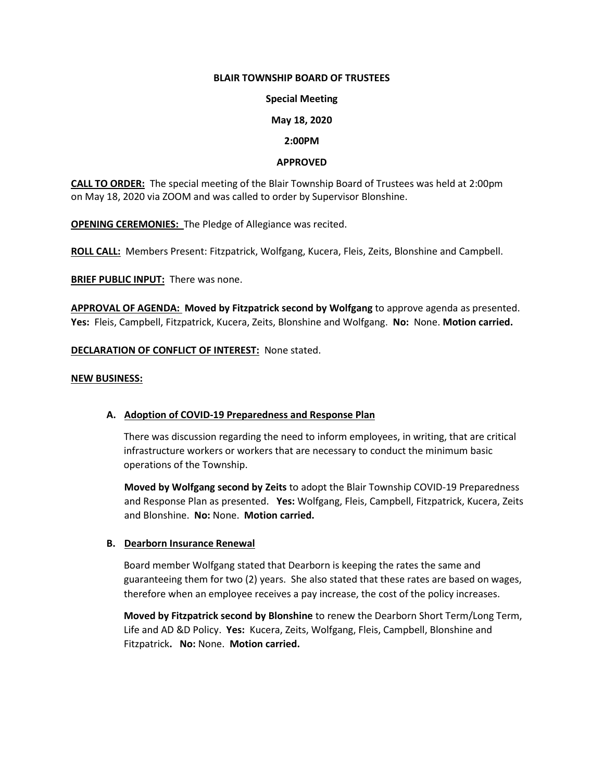# **BLAIR TOWNSHIP BOARD OF TRUSTEES**

### **Special Meeting**

### **May 18, 2020**

#### **2:00PM**

# **APPROVED**

**CALL TO ORDER:** The special meeting of the Blair Township Board of Trustees was held at 2:00pm on May 18, 2020 via ZOOM and was called to order by Supervisor Blonshine.

**OPENING CEREMONIES:** The Pledge of Allegiance was recited.

**ROLL CALL:** Members Present: Fitzpatrick, Wolfgang, Kucera, Fleis, Zeits, Blonshine and Campbell.

**BRIEF PUBLIC INPUT:** There was none.

**APPROVAL OF AGENDA: Moved by Fitzpatrick second by Wolfgang** to approve agenda as presented. **Yes:** Fleis, Campbell, Fitzpatrick, Kucera, Zeits, Blonshine and Wolfgang. **No:** None. **Motion carried.**

# **DECLARATION OF CONFLICT OF INTEREST:** None stated.

#### **NEW BUSINESS:**

# **A. Adoption of COVID-19 Preparedness and Response Plan**

 There was discussion regarding the need to inform employees, in writing, that are critical infrastructure workers or workers that are necessary to conduct the minimum basic operations of the Township.

**Moved by Wolfgang second by Zeits** to adopt the Blair Township COVID-19 Preparedness and Response Plan as presented. **Yes:** Wolfgang, Fleis, Campbell, Fitzpatrick, Kucera, Zeits and Blonshine. **No:** None. **Motion carried.**

# **B. Dearborn Insurance Renewal**

Board member Wolfgang stated that Dearborn is keeping the rates the same and guaranteeing them for two (2) years. She also stated that these rates are based on wages, therefore when an employee receives a pay increase, the cost of the policy increases.

 **Moved by Fitzpatrick second by Blonshine** to renew the Dearborn Short Term/Long Term, Life and AD &D Policy. **Yes:** Kucera, Zeits, Wolfgang, Fleis, Campbell, Blonshine and Fitzpatrick**. No:** None. **Motion carried.**